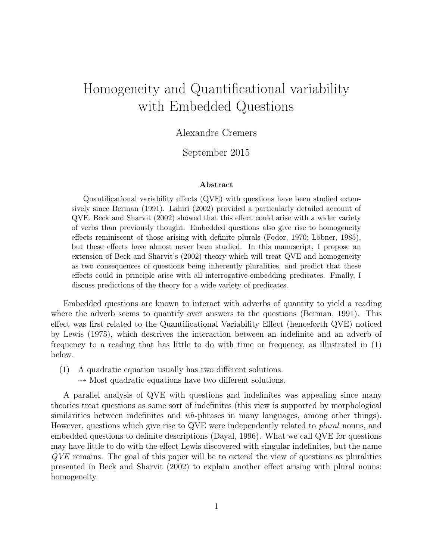# Homogeneity and Quantificational variability with Embedded Questions

# Alexandre Cremers

# September 2015

#### Abstract

Quantificational variability effects (QVE) with questions have been studied extensively since Berman (1991). Lahiri (2002) provided a particularly detailed account of QVE. Beck and Sharvit (2002) showed that this effect could arise with a wider variety of verbs than previously thought. Embedded questions also give rise to homogeneity effects reminiscent of those arising with definite plurals (Fodor, 1970; Löbner, 1985), but these effects have almost never been studied. In this manuscript, I propose an extension of Beck and Sharvit's (2002) theory which will treat QVE and homogeneity as two consequences of questions being inherently pluralities, and predict that these effects could in principle arise with all interrogative-embedding predicates. Finally, I discuss predictions of the theory for a wide variety of predicates.

Embedded questions are known to interact with adverbs of quantity to yield a reading where the adverb seems to quantify over answers to the questions (Berman, 1991). This effect was first related to the Quantificational Variability Effect (henceforth QVE) noticed by Lewis (1975), which descrives the interaction between an indefinite and an adverb of frequency to a reading that has little to do with time or frequency, as illustrated in (1) below.

- (1) A quadratic equation usually has two different solutions.
	- $\rightsquigarrow$  Most quadratic equations have two different solutions.

A parallel analysis of QVE with questions and indefinites was appealing since many theories treat questions as some sort of indefinites (this view is supported by morphological similarities between indefinites and wh-phrases in many languages, among other things). However, questions which give rise to QVE were independently related to *plural* nouns, and embedded questions to definite descriptions (Dayal, 1996). What we call QVE for questions may have little to do with the effect Lewis discovered with singular indefinites, but the name QVE remains. The goal of this paper will be to extend the view of questions as pluralities presented in Beck and Sharvit (2002) to explain another effect arising with plural nouns: homogeneity.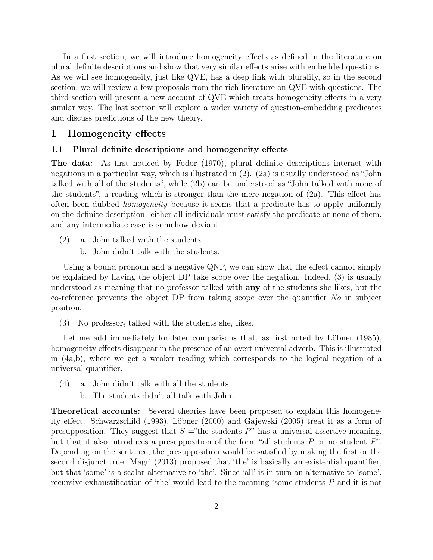In a first section, we will introduce homogeneity effects as defined in the literature on plural definite descriptions and show that very similar effects arise with embedded questions. As we will see homogeneity, just like QVE, has a deep link with plurality, so in the second section, we will review a few proposals from the rich literature on QVE with questions. The third section will present a new account of QVE which treats homogeneity effects in a very similar way. The last section will explore a wider variety of question-embedding predicates and discuss predictions of the new theory.

# 1 Homogeneity effects

## 1.1 Plural definite descriptions and homogeneity effects

The data: As first noticed by Fodor (1970), plural definite descriptions interact with negations in a particular way, which is illustrated in (2). (2a) is usually understood as "John talked with all of the students", while (2b) can be understood as "John talked with none of the students", a reading which is stronger than the mere negation of (2a). This effect has often been dubbed homogeneity because it seems that a predicate has to apply uniformly on the definite description: either all individuals must satisfy the predicate or none of them, and any intermediate case is somehow deviant.

- (2) a. John talked with the students.
	- b. John didn't talk with the students.

Using a bound pronoun and a negative QNP, we can show that the effect cannot simply be explained by having the object DP take scope over the negation. Indeed, (3) is usually understood as meaning that no professor talked with any of the students she likes, but the co-reference prevents the object DP from taking scope over the quantifier  $N<sub>o</sub>$  in subject position.

(3) No professor<sub>i</sub> talked with the students she<sub>i</sub> likes.

Let me add immediately for later comparisons that, as first noted by Löbner (1985), homogeneity effects disappear in the presence of an overt universal adverb. This is illustrated in (4a,b), where we get a weaker reading which corresponds to the logical negation of a universal quantifier.

- (4) a. John didn't talk with all the students.
	- b. The students didn't all talk with John.

Theoretical accounts: Several theories have been proposed to explain this homogeneity effect. Schwarzschild (1993), Löbner (2000) and Gajewski (2005) treat it as a form of presupposition. They suggest that  $S =$ "the students P" has a universal assertive meaning, but that it also introduces a presupposition of the form "all students  $P$  or no student  $P$ ". Depending on the sentence, the presupposition would be satisfied by making the first or the second disjunct true. Magri (2013) proposed that 'the' is basically an existential quantifier, but that 'some' is a scalar alternative to 'the'. Since 'all' is in turn an alternative to 'some', recursive exhaustification of 'the' would lead to the meaning "some students P and it is not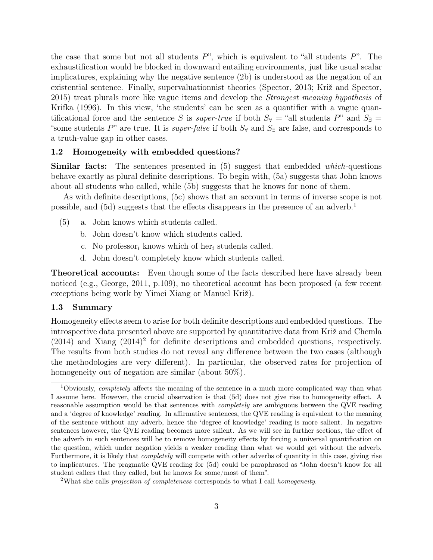the case that some but not all students  $P$ ", which is equivalent to "all students  $P$ ". The exhaustification would be blocked in downward entailing environments, just like usual scalar implicatures, explaining why the negative sentence (2b) is understood as the negation of an existential sentence. Finally, supervaluationnist theories (Spector, 2013; Križ and Spector, 2015) treat plurals more like vague items and develop the Strongest meaning hypothesis of Krifka (1996). In this view, 'the students' can be seen as a quantifier with a vague quantificational force and the sentence S is super-true if both  $S_{\forall}$  = "all students P" and  $S_{\exists}$  = "some students P" are true. It is *super-false* if both  $S_{\forall}$  and  $S_{\exists}$  are false, and corresponds to a truth-value gap in other cases.

#### 1.2 Homogeneity with embedded questions?

**Similar facts:** The sentences presented in (5) suggest that embedded *which*-questions behave exactly as plural definite descriptions. To begin with, (5a) suggests that John knows about all students who called, while (5b) suggests that he knows for none of them.

As with definite descriptions, (5c) shows that an account in terms of inverse scope is not possible, and  $(5d)$  suggests that the effects disappears in the presence of an adverb.<sup>1</sup>

- (5) a. John knows which students called.
	- b. John doesn't know which students called.
	- c. No professor, knows which of here, students called.
	- d. John doesn't completely know which students called.

Theoretical accounts: Even though some of the facts described here have already been noticed (e.g., George, 2011, p.109), no theoretical account has been proposed (a few recent exceptions being work by Yimei Xiang or Manuel Križ).

#### 1.3 Summary

Homogeneity effects seem to arise for both definite descriptions and embedded questions. The introspective data presented above are supported by quantitative data from Križ and Chemla  $(2014)$  and Xiang  $(2014)^2$  for definite descriptions and embedded questions, respectively. The results from both studies do not reveal any difference between the two cases (although the methodologies are very different). In particular, the observed rates for projection of homogeneity out of negation are similar (about 50%).

<sup>&</sup>lt;sup>1</sup>Obviously, *completely* affects the meaning of the sentence in a much more complicated way than what I assume here. However, the crucial observation is that (5d) does not give rise to homogeneity effect. A reasonable assumption would be that sentences with completely are ambiguous between the QVE reading and a 'degree of knowledge' reading. In affirmative sentences, the QVE reading is equivalent to the meaning of the sentence without any adverb, hence the 'degree of knowledge' reading is more salient. In negative sentences however, the QVE reading becomes more salient. As we will see in further sections, the effect of the adverb in such sentences will be to remove homogeneity effects by forcing a universal quantification on the question, which under negation yields a weaker reading than what we would get without the adverb. Furthermore, it is likely that *completely* will compete with other adverbs of quantity in this case, giving rise to implicatures. The pragmatic QVE reading for (5d) could be paraphrased as "John doesn't know for all student callers that they called, but he knows for some/most of them".

<sup>&</sup>lt;sup>2</sup>What she calls *projection of completeness* corresponds to what I call *homogeneity*.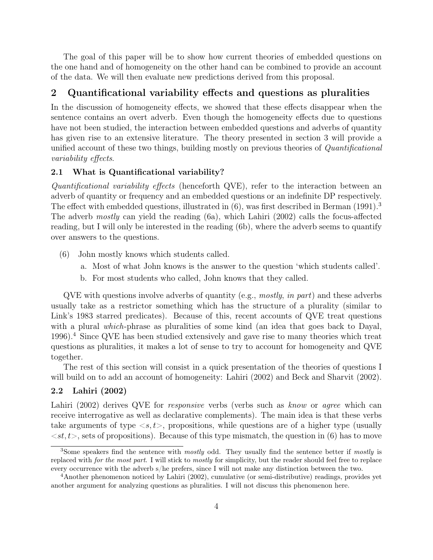The goal of this paper will be to show how current theories of embedded questions on the one hand and of homogeneity on the other hand can be combined to provide an account of the data. We will then evaluate new predictions derived from this proposal.

# 2 Quantificational variability effects and questions as pluralities

In the discussion of homogeneity effects, we showed that these effects disappear when the sentence contains an overt adverb. Even though the homogeneity effects due to questions have not been studied, the interaction between embedded questions and adverbs of quantity has given rise to an extensive literature. The theory presented in section 3 will provide a unified account of these two things, building mostly on previous theories of Quantificational variability effects.

## 2.1 What is Quantificational variability?

Quantificational variability effects (henceforth QVE), refer to the interaction between an adverb of quantity or frequency and an embedded questions or an indefinite DP respectively. The effect with embedded questions, illustrated in  $(6)$ , was first described in Berman  $(1991)^3$ The adverb mostly can yield the reading (6a), which Lahiri (2002) calls the focus-affected reading, but I will only be interested in the reading (6b), where the adverb seems to quantify over answers to the questions.

- (6) John mostly knows which students called.
	- a. Most of what John knows is the answer to the question 'which students called'.
	- b. For most students who called, John knows that they called.

 $QVE$  with questions involve adverbs of quantity (e.g., mostly, in part) and these adverbs usually take as a restrictor something which has the structure of a plurality (similar to Link's 1983 starred predicates). Because of this, recent accounts of QVE treat questions with a plural which-phrase as pluralities of some kind (an idea that goes back to Dayal, 1996).<sup>4</sup> Since QVE has been studied extensively and gave rise to many theories which treat questions as pluralities, it makes a lot of sense to try to account for homogeneity and QVE together.

The rest of this section will consist in a quick presentation of the theories of questions I will build on to add an account of homogeneity: Lahiri (2002) and Beck and Sharvit (2002).

## 2.2 Lahiri (2002)

Lahiri (2002) derives QVE for *responsive* verbs (verbs such as *know* or *agree* which can receive interrogative as well as declarative complements). The main idea is that these verbs take arguments of type  $\langle s, t \rangle$ , propositions, while questions are of a higher type (usually  $\langle st, t \rangle$ , sets of propositions). Because of this type mismatch, the question in (6) has to move

<sup>&</sup>lt;sup>3</sup>Some speakers find the sentence with *mostly* odd. They usually find the sentence better if *mostly* is replaced with for the most part. I will stick to mostly for simplicity, but the reader should feel free to replace every occurrence with the adverb s/he prefers, since I will not make any distinction between the two.

<sup>4</sup>Another phenomenon noticed by Lahiri (2002), cumulative (or semi-distributive) readings, provides yet another argument for analyzing questions as pluralities. I will not discuss this phenomenon here.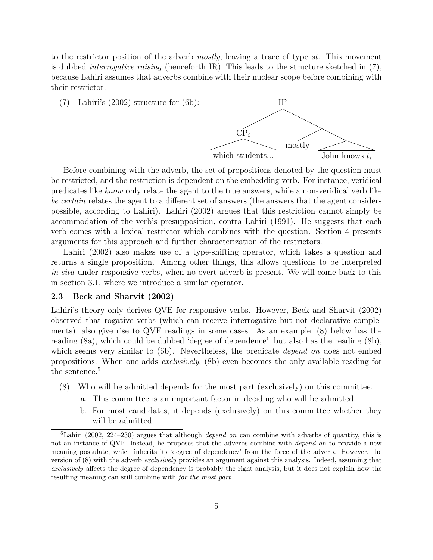to the restrictor position of the adverb *mostly*, leaving a trace of type st. This movement is dubbed *interrogative raising* (henceforth IR). This leads to the structure sketched in  $(7)$ , because Lahiri assumes that adverbs combine with their nuclear scope before combining with their restrictor.

(7) Lahiri's (2002) structure for (6b): IP



Before combining with the adverb, the set of propositions denoted by the question must be restricted, and the restriction is dependent on the embedding verb. For instance, veridical predicates like know only relate the agent to the true answers, while a non-veridical verb like be certain relates the agent to a different set of answers (the answers that the agent considers possible, according to Lahiri). Lahiri (2002) argues that this restriction cannot simply be accommodation of the verb's presupposition, contra Lahiri (1991). He suggests that each verb comes with a lexical restrictor which combines with the question. Section 4 presents arguments for this approach and further characterization of the restrictors.

Lahiri (2002) also makes use of a type-shifting operator, which takes a question and returns a single proposition. Among other things, this allows questions to be interpreted in-situ under responsive verbs, when no overt adverb is present. We will come back to this in section 3.1, where we introduce a similar operator.

#### 2.3 Beck and Sharvit (2002)

Lahiri's theory only derives QVE for responsive verbs. However, Beck and Sharvit (2002) observed that rogative verbs (which can receive interrogative but not declarative complements), also give rise to QVE readings in some cases. As an example, (8) below has the reading (8a), which could be dubbed 'degree of dependence', but also has the reading (8b), which seems very similar to (6b). Nevertheless, the predicate *depend on* does not embed propositions. When one adds exclusively, (8b) even becomes the only available reading for the sentence.<sup>5</sup>

- (8) Who will be admitted depends for the most part (exclusively) on this committee.
	- a. This committee is an important factor in deciding who will be admitted.
	- b. For most candidates, it depends (exclusively) on this committee whether they will be admitted.

<sup>&</sup>lt;sup>5</sup>Lahiri (2002, 224–230) argues that although *depend on* can combine with adverbs of quantity, this is not an instance of QVE. Instead, he proposes that the adverbs combine with *depend on* to provide a new meaning postulate, which inherits its 'degree of dependency' from the force of the adverb. However, the version of (8) with the adverb exclusively provides an argument against this analysis. Indeed, assuming that exclusively affects the degree of dependency is probably the right analysis, but it does not explain how the resulting meaning can still combine with for the most part.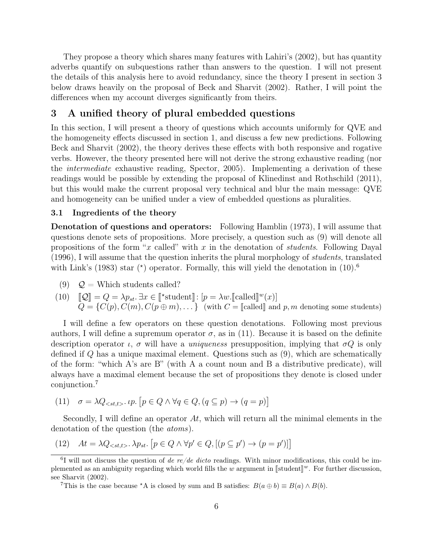They propose a theory which shares many features with Lahiri's (2002), but has quantity adverbs quantify on subquestions rather than answers to the question. I will not present the details of this analysis here to avoid redundancy, since the theory I present in section 3 below draws heavily on the proposal of Beck and Sharvit (2002). Rather, I will point the differences when my account diverges significantly from theirs.

# 3 A unified theory of plural embedded questions

In this section, I will present a theory of questions which accounts uniformly for QVE and the homogeneity effects discussed in section 1, and discuss a few new predictions. Following Beck and Sharvit (2002), the theory derives these effects with both responsive and rogative verbs. However, the theory presented here will not derive the strong exhaustive reading (nor the intermediate exhaustive reading, Spector, 2005). Implementing a derivation of these readings would be possible by extending the proposal of Klinedinst and Rothschild (2011), but this would make the current proposal very technical and blur the main message: QVE and homogeneity can be unified under a view of embedded questions as pluralities.

## 3.1 Ingredients of the theory

Denotation of questions and operators: Following Hamblin (1973), I will assume that questions denote sets of propositions. More precisely, a question such as (9) will denote all propositions of the form "x called" with x in the denotation of *students*. Following Dayal (1996), I will assume that the question inherits the plural morphology of students, translated with Link's (1983) star  $(*)$  operator. Formally, this will yield the denotation in  $(10).<sup>6</sup>$ 

(9)  $Q =$  Which students called?

(10) 
$$
\llbracket \mathcal{Q} \rrbracket = Q = \lambda p_{st} \exists x \in \llbracket \text{*student} \rrbracket : [p = \lambda w. \llbracket \text{called} \rrbracket^w(x)]
$$

$$
Q = \{C(p), C(m), C(p \oplus m), \dots\} \text{ (with } C = \llbracket \text{called} \rrbracket \text{ and } p, m \text{ denoting some students)}
$$

I will define a few operators on these question denotations. Following most previous authors, I will define a supremum operator  $\sigma$ , as in (11). Because it is based on the definite description operator  $\iota$ ,  $\sigma$  will have a *uniqueness* presupposition, implying that  $\sigma Q$  is only defined if Q has a unique maximal element. Questions such as (9), which are schematically of the form: "which A's are B" (with A a count noun and B a distributive predicate), will always have a maximal element because the set of propositions they denote is closed under conjunction.<sup>7</sup>

(11) 
$$
\sigma = \lambda Q_{\leq st, t>} \cdot \iota p. \left[ p \in Q \land \forall q \in Q, (q \subseteq p) \to (q = p) \right]
$$

Secondly, I will define an operator  $At$ , which will return all the minimal elements in the denotation of the question (the atoms).

(12) 
$$
At = \lambda Q_{\leq st, t>} \cdot \lambda p_{st} \cdot [p \in Q \land \forall p' \in Q, [(p \subseteq p') \to (p = p')] ]
$$

<sup>&</sup>lt;sup>6</sup>I will not discuss the question of de re/de dicto readings. With minor modifications, this could be implemented as an ambiguity regarding which world fills the w argument in  $\llbracket \text{student} \rrbracket^w$ . For further discussion, see Sharvit (2002).

<sup>&</sup>lt;sup>7</sup>This is the case because \*A is closed by sum and B satisfies:  $B(a \oplus b) \equiv B(a) \wedge B(b)$ .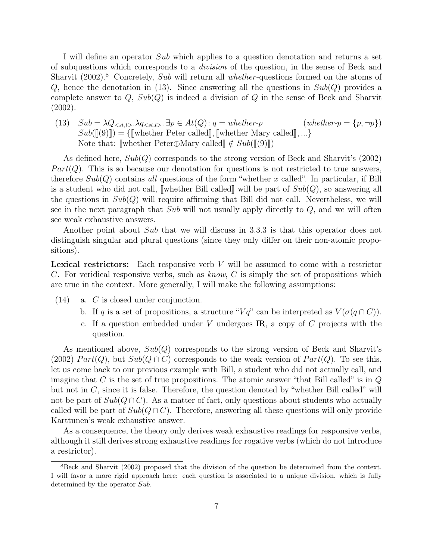I will define an operator Sub which applies to a question denotation and returns a set of subquestions which corresponds to a division of the question, in the sense of Beck and Sharvit  $(2002)^8$  Concretely, Sub will return all whether-questions formed on the atoms of Q, hence the denotation in (13). Since answering all the questions in  $Sub(Q)$  provides a complete answer to  $Q$ ,  $Sub(Q)$  is indeed a division of  $Q$  in the sense of Beck and Sharvit (2002).

(13)  $Sub = \lambda Q_{\leq st, t>} \cdot \lambda q_{\leq st, t>} \cdot \exists p \in At(Q): q = whether-p$  (whether- $p = \{p, \neg p\}$ )  $Sub([\lbrack(9)]\rbrack) = {\lbrack}$  whether Peter called , Jwhether Mary called , ...} Note that:  $\llbracket \text{whether Peter}\oplus\text{Mary called} \rrbracket \notin Sub(\llbracket (9) \rrbracket)$ 

As defined here,  $Sub(Q)$  corresponds to the strong version of Beck and Sharvit's (2002)  $Part(Q)$ . This is so because our denotation for questions is not restricted to true answers, therefore  $Sub(Q)$  contains all questions of the form "whether x called". In particular, if Bill is a student who did not call, whether Bill called will be part of  $Sub(Q)$ , so answering all the questions in  $Sub(Q)$  will require affirming that Bill did not call. Nevertheless, we will see in the next paragraph that  $Sub$  will not usually apply directly to  $Q$ , and we will often see weak exhaustive answers.

Another point about Sub that we will discuss in 3.3.3 is that this operator does not distinguish singular and plural questions (since they only differ on their non-atomic propositions).

**Lexical restrictors:** Each responsive verb  $V$  will be assumed to come with a restrictor C. For veridical responsive verbs, such as know, C is simply the set of propositions which are true in the context. More generally, I will make the following assumptions:

- (14) a. C is closed under conjunction.
	- b. If q is a set of propositions, a structure " $Vq$ " can be interpreted as  $V(\sigma(q \cap C))$ .
	- c. If a question embedded under V undergoes IR, a copy of  $C$  projects with the question.

As mentioned above,  $Sub(Q)$  corresponds to the strong version of Beck and Sharvit's (2002)  $Part(Q)$ , but  $Sub(Q \cap C)$  corresponds to the weak version of  $Part(Q)$ . To see this, let us come back to our previous example with Bill, a student who did not actually call, and imagine that C is the set of true propositions. The atomic answer "that Bill called" is in  $Q$ but not in  $C$ , since it is false. Therefore, the question denoted by "whether Bill called" will not be part of  $Sub(Q \cap C)$ . As a matter of fact, only questions about students who actually called will be part of  $Sub(Q \cap C)$ . Therefore, answering all these questions will only provide Karttunen's weak exhaustive answer.

As a consequence, the theory only derives weak exhaustive readings for responsive verbs, although it still derives strong exhaustive readings for rogative verbs (which do not introduce a restrictor).

<sup>&</sup>lt;sup>8</sup>Beck and Sharvit (2002) proposed that the division of the question be determined from the context. I will favor a more rigid approach here: each question is associated to a unique division, which is fully determined by the operator Sub.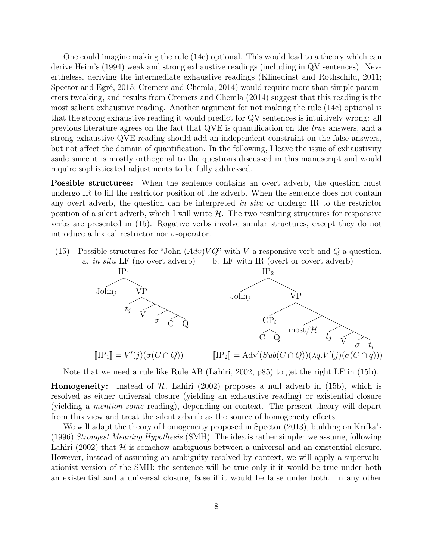One could imagine making the rule (14c) optional. This would lead to a theory which can derive Heim's (1994) weak and strong exhaustive readings (including in QV sentences). Nevertheless, deriving the intermediate exhaustive readings (Klinedinst and Rothschild, 2011; Spector and Egré, 2015; Cremers and Chemla, 2014) would require more than simple parameters tweaking, and results from Cremers and Chemla (2014) suggest that this reading is the most salient exhaustive reading. Another argument for not making the rule (14c) optional is that the strong exhaustive reading it would predict for QV sentences is intuitively wrong: all previous literature agrees on the fact that QVE is quantification on the true answers, and a strong exhaustive QVE reading should add an independent constraint on the false answers, but not affect the domain of quantification. In the following, I leave the issue of exhaustivity aside since it is mostly orthogonal to the questions discussed in this manuscript and would require sophisticated adjustments to be fully addressed.

Possible structures: When the sentence contains an overt adverb, the question must undergo IR to fill the restrictor position of the adverb. When the sentence does not contain any overt adverb, the question can be interpreted in situ or undergo IR to the restrictor position of a silent adverb, which I will write  $H$ . The two resulting structures for responsive verbs are presented in (15). Rogative verbs involve similar structures, except they do not introduce a lexical restrictor nor  $\sigma$ -operator.

(15) Possible structures for "John  $(Adv)VQ$ " with V a responsive verb and Q a question. a. in situ LF (no overt adverb) b. LF with IR (overt or covert adverb)



Note that we need a rule like Rule AB (Lahiri, 2002, p85) to get the right LF in (15b).

**Homogeneity:** Instead of  $H$ , Lahiri (2002) proposes a null adverb in (15b), which is resolved as either universal closure (yielding an exhaustive reading) or existential closure (yielding a mention-some reading), depending on context. The present theory will depart from this view and treat the silent adverb as the source of homogeneity effects.

We will adapt the theory of homogeneity proposed in Spector (2013), building on Krifka's (1996) Strongest Meaning Hypothesis (SMH). The idea is rather simple: we assume, following Lahiri (2002) that  $H$  is somehow ambiguous between a universal and an existential closure. However, instead of assuming an ambiguity resolved by context, we will apply a supervaluationist version of the SMH: the sentence will be true only if it would be true under both an existential and a universal closure, false if it would be false under both. In any other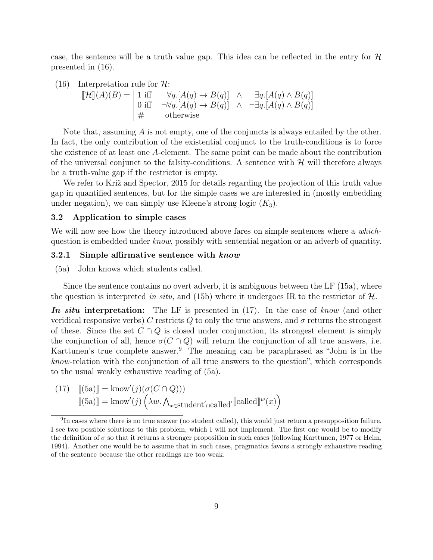case, the sentence will be a truth value gap. This idea can be reflected in the entry for  $\mathcal H$ presented in (16).

(16) Interpretation rule for 
$$
\mathcal{H}
$$
:  
\n
$$
\llbracket \mathcal{H} \rrbracket(A)(B) = \begin{vmatrix} 1 \text{ iff } & \forall q. [A(q) \rightarrow B(q)] & \wedge & \exists q. [A(q) \land B(q)] \\ 0 \text{ iff } & \neg \forall q. [A(q) \rightarrow B(q)] & \wedge & \neg \exists q. [A(q) \land B(q)] \\ \# & \text{otherwise} \end{vmatrix}
$$

Note that, assuming  $A$  is not empty, one of the conjuncts is always entailed by the other. In fact, the only contribution of the existential conjunct to the truth-conditions is to force the existence of at least one A-element. The same point can be made about the contribution of the universal conjunct to the falsity-conditions. A sentence with  $\mathcal{H}$  will therefore always be a truth-value gap if the restrictor is empty.

We refer to Križ and Spector, 2015 for details regarding the projection of this truth value gap in quantified sentences, but for the simple cases we are interested in (mostly embedding under negation), we can simply use Kleene's strong logic  $(K_3)$ .

## 3.2 Application to simple cases

We will now see how the theory introduced above fares on simple sentences where a *which*question is embedded under know, possibly with sentential negation or an adverb of quantity.

#### 3.2.1 Simple affirmative sentence with know

(5a) John knows which students called.

Since the sentence contains no overt adverb, it is ambiguous between the LF (15a), where the question is interpreted in situ, and (15b) where it undergoes IR to the restrictor of  $\mathcal{H}$ .

In situ interpretation: The LF is presented in (17). In the case of know (and other veridical responsive verbs) C restricts Q to only the true answers, and  $\sigma$  returns the strongest of these. Since the set  $C \cap Q$  is closed under conjunction, its strongest element is simply the conjunction of all, hence  $\sigma(C \cap Q)$  will return the conjunction of all true answers, i.e. Karttunen's true complete answer.<sup>9</sup> The meaning can be paraphrased as "John is in the know-relation with the conjunction of all true answers to the question", which corresponds to the usual weakly exhaustive reading of (5a).

(17) 
$$
\llbracket (5a) \rrbracket = \text{know}'(j) (\sigma(C \cap Q)))
$$

$$
\llbracket (5a) \rrbracket = \text{know}'(j) (\lambda w. \Lambda_{x \in \text{student}' \cap \text{called}'} \llbracket \text{called} \llbracket w(x) \rrbracket)
$$

<sup>&</sup>lt;sup>9</sup>In cases where there is no true answer (no student called), this would just return a presupposition failure. I see two possible solutions to this problem, which I will not implement. The first one would be to modify the definition of  $\sigma$  so that it returns a stronger proposition in such cases (following Karttunen, 1977 or Heim, 1994). Another one would be to assume that in such cases, pragmatics favors a strongly exhaustive reading of the sentence because the other readings are too weak.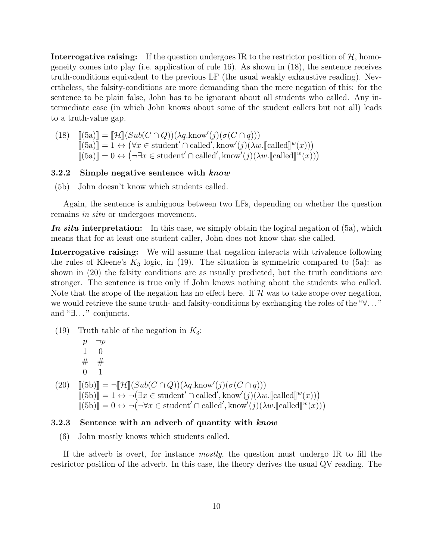**Interrogative raising:** If the question undergoes IR to the restrictor position of  $\mathcal{H}$ , homogeneity comes into play (i.e. application of rule 16). As shown in (18), the sentence receives truth-conditions equivalent to the previous LF (the usual weakly exhaustive reading). Nevertheless, the falsity-conditions are more demanding than the mere negation of this: for the sentence to be plain false, John has to be ignorant about all students who called. Any intermediate case (in which John knows about some of the student callers but not all) leads to a truth-value gap.

(18)  $[(5a)] = [\mathcal{H}](Sub(C \cap Q))(\lambda q.know'(j)(\sigma(C \cap q)))$ <br> $[(5a)] = 1 \wedge (\forall x \in student' \cap called' 'known'(i))\wedge q.know'(j)(j))$  $[[(5a)] = 1 \leftrightarrow (\forall x \in student' \cap called', know'(j)(\lambda w. [called]^{w}(x)))$ <br> $[[(5a)]] = 0 \leftrightarrow (-\exists x \in student' \cap called' 'from'(i)(\lambda w. [called]^{w}(x)))$  $\overline{[(5a)}\overline{]} = 0 \leftrightarrow (\neg \exists x \in student' \cap called', know'(j)(\lambda w.\llbracket called \rrbracket w(x)))$ 

## 3.2.2 Simple negative sentence with know

(5b) John doesn't know which students called.

Again, the sentence is ambiguous between two LFs, depending on whether the question remains in situ or undergoes movement.

In situ interpretation: In this case, we simply obtain the logical negation of  $(5a)$ , which means that for at least one student caller, John does not know that she called.

Interrogative raising: We will assume that negation interacts with trivalence following the rules of Kleene's  $K_3$  logic, in (19). The situation is symmetric compared to (5a): as shown in (20) the falsity conditions are as usually predicted, but the truth conditions are stronger. The sentence is true only if John knows nothing about the students who called. Note that the scope of the negation has no effect here. If  $\mathcal H$  was to take scope over negation, we would retrieve the same truth- and falsity-conditions by exchanging the roles of the "∀. . . " and "∃..." conjuncts.

(19) Truth table of the negation in  $K_3$ :

$$
\begin{array}{c|c}\np & \neg p \\
\hline\n1 & 0 \\
\# & \# \\
0 & 1\n\end{array}
$$

(20)  $[[(5b)]] = \neg[\mathcal{H}](Sub(C \cap Q))(\lambda q.know'(j)(\sigma(C \cap q)))$ <br> $[[(5b)]] = 1 \wedge \neg(\exists x \in student' \cap called' \; know'(i)(\lambda q.know'(j)))$  $\overline{[(5b)]} = 1 \leftrightarrow \neg (\exists x \in student' \cap called', know'(j)(\lambda w.\llbracket called \rrbracket^w(x)))$  $[[(5b)]] = 0 \leftrightarrow \neg(\neg \forall x \in student' \cap called', know'(j)(\lambda w.[[called]]^w(x)))$ 

#### 3.2.3 Sentence with an adverb of quantity with know

(6) John mostly knows which students called.

If the adverb is overt, for instance mostly, the question must undergo IR to fill the restrictor position of the adverb. In this case, the theory derives the usual QV reading. The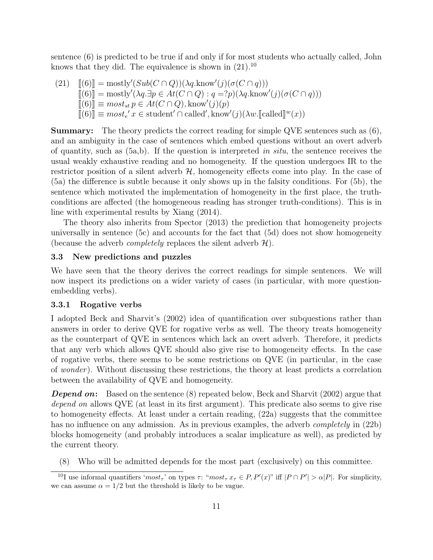sentence (6) is predicted to be true if and only if for most students who actually called, John knows that they did. The equivalence is shown in  $(21).^{10}$ 

(21) 
$$
\begin{array}{ll}\n\left[\!\!\left(6\right)\!\!\right] = \text{mostly}'(Sub(C \cap Q))(\lambda q \cdot \text{know}'(j)(\sigma(C \cap q))) \\
\left[\!\!\left[ (6) \right]\!\!\right] = \text{mostly}'(\lambda q \cdot \exists p \in At(C \cap Q) : q = ?p)(\lambda q \cdot \text{know}'(j)(\sigma(C \cap q))) \\
\left[\!\!\left[ (6) \right]\!\!\right] = \text{most}_{st} p \in At(C \cap Q), \text{know}'(j)(p) \\
\left[\!\!\left[ (6) \right]\!\!\right] = \text{most}_{t'} x \in \text{student}' \cap \text{called}', \text{know}'(j)(\lambda w.\text{[called]}^w(x))\n\end{array}
$$

Summary: The theory predicts the correct reading for simple QVE sentences such as (6), and an ambiguity in the case of sentences which embed questions without an overt adverb of quantity, such as  $(5a,b)$ . If the question is interpreted in situ, the sentence receives the usual weakly exhaustive reading and no homogeneity. If the question undergoes IR to the restrictor position of a silent adverb  $H$ , homogeneity effects come into play. In the case of (5a) the difference is subtle because it only shows up in the falsity conditions. For (5b), the sentence which motivated the implementation of homogeneity in the first place, the truthconditions are affected (the homogeneous reading has stronger truth-conditions). This is in line with experimental results by Xiang (2014).

The theory also inherits from Spector (2013) the prediction that homogeneity projects universally in sentence (5c) and accounts for the fact that (5d) does not show homogeneity (because the adverb *completely* replaces the silent adverb  $H$ ).

## 3.3 New predictions and puzzles

We have seen that the theory derives the correct readings for simple sentences. We will now inspect its predictions on a wider variety of cases (in particular, with more questionembedding verbs).

## 3.3.1 Rogative verbs

I adopted Beck and Sharvit's (2002) idea of quantification over subquestions rather than answers in order to derive QVE for rogative verbs as well. The theory treats homogeneity as the counterpart of QVE in sentences which lack an overt adverb. Therefore, it predicts that any verb which allows QVE should also give rise to homogeneity effects. In the case of rogative verbs, there seems to be some restrictions on QVE (in particular, in the case of wonder ). Without discussing these restrictions, the theory at least predicts a correlation between the availability of QVE and homogeneity.

**Depend on:** Based on the sentence (8) repeated below, Beck and Sharvit (2002) argue that depend on allows QVE (at least in its first argument). This predicate also seems to give rise to homogeneity effects. At least under a certain reading, (22a) suggests that the committee has no influence on any admission. As in previous examples, the adverb *completely* in (22b) blocks homogeneity (and probably introduces a scalar implicature as well), as predicted by the current theory.

(8) Who will be admitted depends for the most part (exclusively) on this committee.

<sup>&</sup>lt;sup>10</sup>I use informal quantifiers ' $most_\tau$ ' on types  $\tau$ : " $most_\tau x_\tau \in P$ ,  $P'(x)$ " iff  $|P \cap P'| > \alpha |P|$ . For simplicity, we can assume  $\alpha = 1/2$  but the threshold is likely to be vague.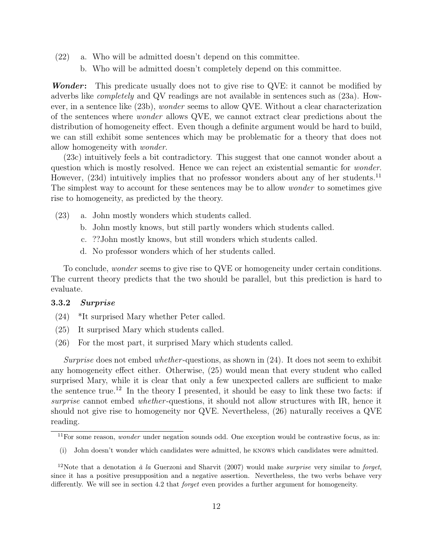- (22) a. Who will be admitted doesn't depend on this committee.
	- b. Who will be admitted doesn't completely depend on this committee.

Wonder: This predicate usually does not to give rise to QVE: it cannot be modified by adverbs like completely and QV readings are not available in sentences such as (23a). However, in a sentence like (23b), wonder seems to allow QVE. Without a clear characterization of the sentences where wonder allows QVE, we cannot extract clear predictions about the distribution of homogeneity effect. Even though a definite argument would be hard to build, we can still exhibit some sentences which may be problematic for a theory that does not allow homogeneity with wonder.

(23c) intuitively feels a bit contradictory. This suggest that one cannot wonder about a question which is mostly resolved. Hence we can reject an existential semantic for wonder. However, (23d) intuitively implies that no professor wonders about any of her students.<sup>11</sup> The simplest way to account for these sentences may be to allow *wonder* to sometimes give rise to homogeneity, as predicted by the theory.

- (23) a. John mostly wonders which students called.
	- b. John mostly knows, but still partly wonders which students called.
	- c. ??John mostly knows, but still wonders which students called.
	- d. No professor wonders which of her students called.

To conclude, *wonder* seems to give rise to QVE or homogeneity under certain conditions. The current theory predicts that the two should be parallel, but this prediction is hard to evaluate.

# 3.3.2 Surprise

- (24) \*It surprised Mary whether Peter called.
- (25) It surprised Mary which students called.
- (26) For the most part, it surprised Mary which students called.

Surprise does not embed whether-questions, as shown in  $(24)$ . It does not seem to exhibit any homogeneity effect either. Otherwise, (25) would mean that every student who called surprised Mary, while it is clear that only a few unexpected callers are sufficient to make the sentence true.<sup>12</sup> In the theory I presented, it should be easy to link these two facts: if surprise cannot embed whether-questions, it should not allow structures with IR, hence it should not give rise to homogeneity nor QVE. Nevertheless, (26) naturally receives a QVE reading.

 $11$  For some reason, *wonder* under negation sounds odd. One exception would be contrastive focus, as in:

<sup>(</sup>i) John doesn't wonder which candidates were admitted, he knows which candidates were admitted.

<sup>&</sup>lt;sup>12</sup>Note that a denotation  $\dot{a}$  la Guerzoni and Sharvit (2007) would make *surprise* very similar to forget, since it has a positive presupposition and a negative assertion. Nevertheless, the two verbs behave very differently. We will see in section 4.2 that *forget* even provides a further argument for homogeneity.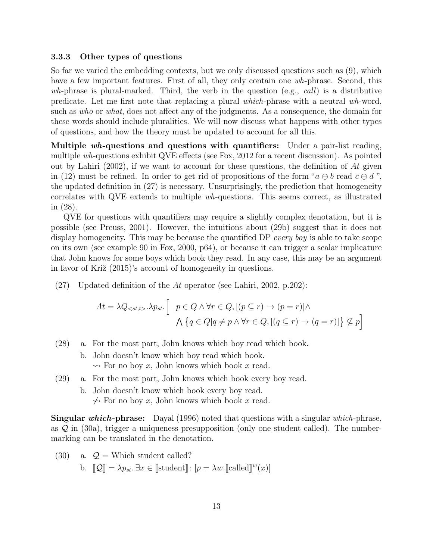#### 3.3.3 Other types of questions

So far we varied the embedding contexts, but we only discussed questions such as (9), which have a few important features. First of all, they only contain one wh-phrase. Second, this wh-phrase is plural-marked. Third, the verb in the question (e.g., call) is a distributive predicate. Let me first note that replacing a plural which-phrase with a neutral wh-word, such as who or what, does not affect any of the judgments. As a consequence, the domain for these words should include pluralities. We will now discuss what happens with other types of questions, and how the theory must be updated to account for all this.

Multiple  $wh$ -questions and questions with quantifiers: Under a pair-list reading, multiple wh-questions exhibit QVE effects (see Fox, 2012 for a recent discussion). As pointed out by Lahiri (2002), if we want to account for these questions, the definition of  $At$  given in (12) must be refined. In order to get rid of propositions of the form " $a \oplus b$  read  $c \oplus d$ ", the updated definition in (27) is necessary. Unsurprisingly, the prediction that homogeneity correlates with QVE extends to multiple wh-questions. This seems correct, as illustrated in (28).

QVE for questions with quantifiers may require a slightly complex denotation, but it is possible (see Preuss, 2001). However, the intuitions about (29b) suggest that it does not display homogeneity. This may be because the quantified DP every boy is able to take scope on its own (see example 90 in Fox, 2000, p64), or because it can trigger a scalar implicature that John knows for some boys which book they read. In any case, this may be an argument in favor of Križ (2015)'s account of homogeneity in questions.

(27) Updated definition of the At operator (see Lahiri, 2002, p.202):

$$
At = \lambda Q_{} \cdot \lambda p_{st} \cdot \begin{bmatrix} p \in Q \land \forall r \in Q, [(p \subseteq r) \to (p = r)] \land \\ \bigwedge \{ q \in Q | q \neq p \land \forall r \in Q, [(q \subseteq r) \to (q = r)] \} \nsubseteq p \end{bmatrix}
$$

- (28) a. For the most part, John knows which boy read which book.
	- b. John doesn't know which boy read which book.  $\rightsquigarrow$  For no boy x, John knows which book x read.
- (29) a. For the most part, John knows which book every boy read.
	- b. John doesn't know which book every boy read.  $\leftrightarrow$  For no boy x, John knows which book x read.

Singular which-phrase: Dayal (1996) noted that questions with a singular which-phrase, as  $\mathcal Q$  in (30a), trigger a uniqueness presupposition (only one student called). The numbermarking can be translated in the denotation.

- (30) a.  $\mathcal{Q} =$  Which student called?
	- b.  $[\![\mathcal{Q}]\!] = \lambda p_{st}$ .  $\exists x \in [\![ \text{student}]\!] : [p = \lambda w \cdot [\![ \text{called}]\!]^w(x)]$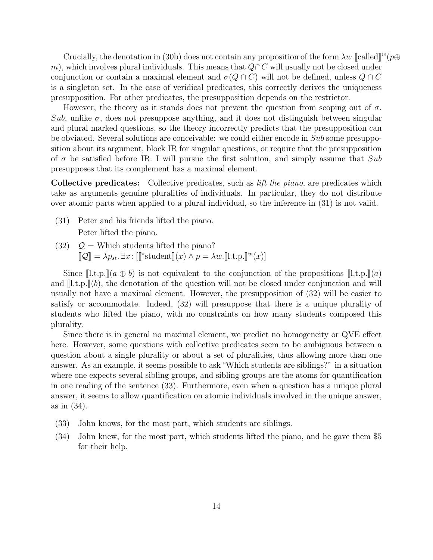Crucially, the denotation in (30b) does not contain any proposition of the form  $\lambda w$ . [[called]<sup>w</sup>( $p\oplus$ <br>which involves plural individuals. This means that  $OOC$  will usually not be closed under m), which involves plural individuals. This means that  $Q \cap C$  will usually not be closed under conjunction or contain a maximal element and  $\sigma(Q \cap C)$  will not be defined, unless  $Q \cap C$ is a singleton set. In the case of veridical predicates, this correctly derives the uniqueness presupposition. For other predicates, the presupposition depends on the restrictor.

However, the theory as it stands does not prevent the question from scoping out of  $\sigma$ . Sub, unlike  $\sigma$ , does not presuppose anything, and it does not distinguish between singular and plural marked questions, so the theory incorrectly predicts that the presupposition can be obviated. Several solutions are conceivable: we could either encode in Sub some presupposition about its argument, block IR for singular questions, or require that the presupposition of  $\sigma$  be satisfied before IR. I will pursue the first solution, and simply assume that Sub presupposes that its complement has a maximal element.

Collective predicates: Collective predicates, such as lift the piano, are predicates which take as arguments genuine pluralities of individuals. In particular, they do not distribute over atomic parts when applied to a plural individual, so the inference in (31) is not valid.

- (31) Peter and his friends lifted the piano. Peter lifted the piano.
- (32)  $Q =$  Which students lifted the piano?  $[\![\mathcal{Q}]\!] = \lambda p_{st}$ .  $\exists x \colon [[^* \text{student}]\!](x) \wedge p = \lambda w \cdot [\![\text{l.t.p.}]\!]^w(x)]$

Since  $[\![1, t, p, \cdot]\!] (a \oplus b)$  is not equivalent to the conjunction of the propositions  $[\![1, t, p, \cdot]\!] (a)$ and  $[1.t.p.](b)$ , the denotation of the question will not be closed under conjunction and will usually not have a maximal element. However, the presupposition of (32) will be easier to satisfy or accommodate. Indeed, (32) will presuppose that there is a unique plurality of students who lifted the piano, with no constraints on how many students composed this plurality.

Since there is in general no maximal element, we predict no homogeneity or QVE effect here. However, some questions with collective predicates seem to be ambiguous between a question about a single plurality or about a set of pluralities, thus allowing more than one answer. As an example, it seems possible to ask "Which students are siblings?" in a situation where one expects several sibling groups, and sibling groups are the atoms for quantification in one reading of the sentence (33). Furthermore, even when a question has a unique plural answer, it seems to allow quantification on atomic individuals involved in the unique answer, as in (34).

- (33) John knows, for the most part, which students are siblings.
- (34) John knew, for the most part, which students lifted the piano, and he gave them \$5 for their help.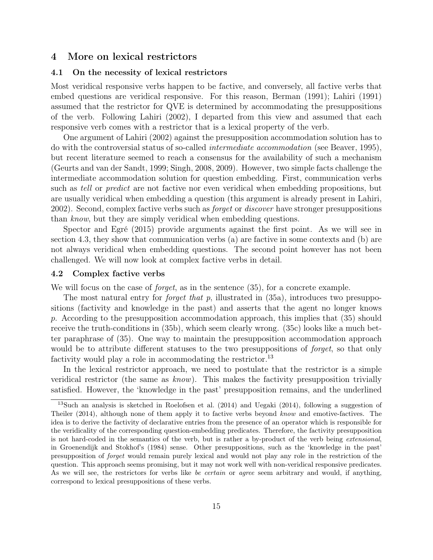# 4 More on lexical restrictors

## 4.1 On the necessity of lexical restrictors

Most veridical responsive verbs happen to be factive, and conversely, all factive verbs that embed questions are veridical responsive. For this reason, Berman (1991); Lahiri (1991) assumed that the restrictor for QVE is determined by accommodating the presuppositions of the verb. Following Lahiri (2002), I departed from this view and assumed that each responsive verb comes with a restrictor that is a lexical property of the verb.

One argument of Lahiri (2002) against the presupposition accommodation solution has to do with the controversial status of so-called intermediate accommodation (see Beaver, 1995), but recent literature seemed to reach a consensus for the availability of such a mechanism (Geurts and van der Sandt, 1999; Singh, 2008, 2009). However, two simple facts challenge the intermediate accommodation solution for question embedding. First, communication verbs such as tell or predict are not factive nor even veridical when embedding propositions, but are usually veridical when embedding a question (this argument is already present in Lahiri, 2002). Second, complex factive verbs such as forget or discover have stronger presuppositions than know, but they are simply veridical when embedding questions.

Spector and Egré (2015) provide arguments against the first point. As we will see in section 4.3, they show that communication verbs (a) are factive in some contexts and (b) are not always veridical when embedding questions. The second point however has not been challenged. We will now look at complex factive verbs in detail.

#### 4.2 Complex factive verbs

We will focus on the case of *forget*, as in the sentence  $(35)$ , for a concrete example.

The most natural entry for *forget that p*, illustrated in (35a), introduces two presuppositions (factivity and knowledge in the past) and asserts that the agent no longer knows p. According to the presupposition accommodation approach, this implies that  $(35)$  should receive the truth-conditions in (35b), which seem clearly wrong. (35c) looks like a much better paraphrase of (35). One way to maintain the presupposition accommodation approach would be to attribute different statuses to the two presuppositions of *forget*, so that only factivity would play a role in accommodating the restrictor.<sup>13</sup>

In the lexical restrictor approach, we need to postulate that the restrictor is a simple veridical restrictor (the same as know). This makes the factivity presupposition trivially satisfied. However, the 'knowledge in the past' presupposition remains, and the underlined

<sup>13</sup>Such an analysis is sketched in Roelofsen et al. (2014) and Uegaki (2014), following a suggestion of Theiler (2014), although none of them apply it to factive verbs beyond know and emotive-factives. The idea is to derive the factivity of declarative entries from the presence of an operator which is responsible for the veridicality of the corresponding question-embedding predicates. Therefore, the factivity presupposition is not hard-coded in the semantics of the verb, but is rather a by-product of the verb being extensional, in Groenendijk and Stokhof's (1984) sense. Other presuppositions, such as the 'knowledge in the past' presupposition of forget would remain purely lexical and would not play any role in the restriction of the question. This approach seems promising, but it may not work well with non-veridical responsive predicates. As we will see, the restrictors for verbs like be certain or agree seem arbitrary and would, if anything, correspond to lexical presuppositions of these verbs.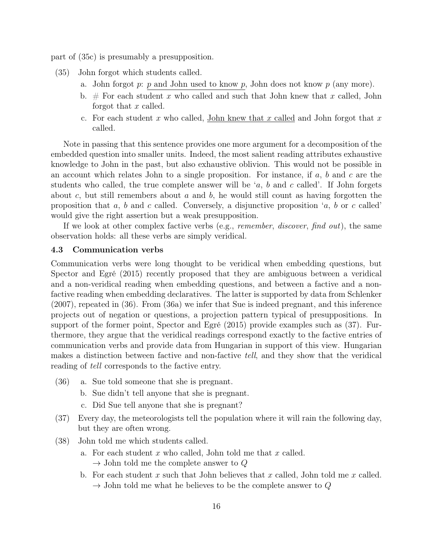part of (35c) is presumably a presupposition.

- (35) John forgot which students called.
	- a. John forgot  $p: p$  and John used to know  $p$ , John does not know  $p$  (any more).
	- b. # For each student x who called and such that John knew that x called, John forgot that x called.
	- c. For each student x who called, John knew that x called and John forgot that x called.

Note in passing that this sentence provides one more argument for a decomposition of the embedded question into smaller units. Indeed, the most salient reading attributes exhaustive knowledge to John in the past, but also exhaustive oblivion. This would not be possible in an account which relates John to a single proposition. For instance, if  $a, b$  and  $c$  are the students who called, the true complete answer will be 'a, b and c called'. If John forgets about  $c$ , but still remembers about  $a$  and  $b$ , he would still count as having forgotten the proposition that  $a, b$  and  $c$  called. Conversely, a disjunctive proposition  $a, b$  or  $c$  called would give the right assertion but a weak presupposition.

If we look at other complex factive verbs (e.g., *remember*, *discover*, *find out*), the same observation holds: all these verbs are simply veridical.

#### 4.3 Communication verbs

Communication verbs were long thought to be veridical when embedding questions, but Spector and Egré (2015) recently proposed that they are ambiguous between a veridical and a non-veridical reading when embedding questions, and between a factive and a nonfactive reading when embedding declaratives. The latter is supported by data from Schlenker (2007), repeated in (36). From (36a) we infer that Sue is indeed pregnant, and this inference projects out of negation or questions, a projection pattern typical of presuppositions. In support of the former point, Spector and Egré (2015) provide examples such as (37). Furthermore, they argue that the veridical readings correspond exactly to the factive entries of communication verbs and provide data from Hungarian in support of this view. Hungarian makes a distinction between factive and non-factive tell, and they show that the veridical reading of tell corresponds to the factive entry.

- (36) a. Sue told someone that she is pregnant.
	- b. Sue didn't tell anyone that she is pregnant.
	- c. Did Sue tell anyone that she is pregnant?
- (37) Every day, the meteorologists tell the population where it will rain the following day, but they are often wrong.
- (38) John told me which students called.
	- a. For each student  $x$  who called, John told me that  $x$  called.  $\rightarrow$  John told me the complete answer to Q
	- b. For each student x such that John believes that x called, John told me x called.  $\rightarrow$  John told me what he believes to be the complete answer to Q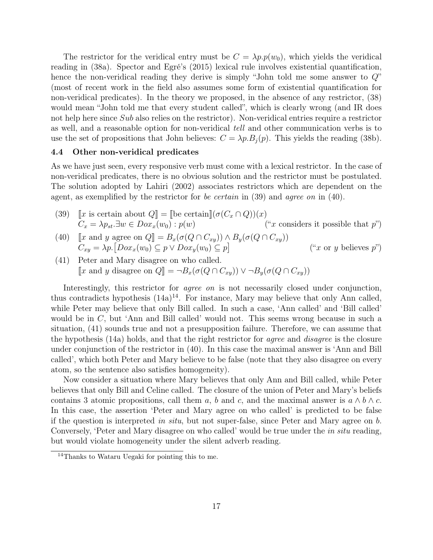The restrictor for the veridical entry must be  $C = \lambda p \cdot p(w_0)$ , which yields the veridical reading in (38a). Spector and Egré's (2015) lexical rule involves existential quantification, hence the non-veridical reading they derive is simply "John told me some answer to  $Q^{\prime\prime}$ (most of recent work in the field also assumes some form of existential quantification for non-veridical predicates). In the theory we proposed, in the absence of any restrictor, (38) would mean "John told me that every student called", which is clearly wrong (and IR does not help here since Sub also relies on the restrictor). Non-veridical entries require a restrictor as well, and a reasonable option for non-veridical tell and other communication verbs is to use the set of propositions that John believes:  $C = \lambda p.B_j(p)$ . This yields the reading (38b).

## 4.4 Other non-veridical predicates

As we have just seen, every responsive verb must come with a lexical restrictor. In the case of non-veridical predicates, there is no obvious solution and the restrictor must be postulated. The solution adopted by Lahiri (2002) associates restrictors which are dependent on the agent, as exemplified by the restrictor for *be certain* in (39) and *agree on* in (40).

- (39)  $\llbracket x$  is certain about  $Q \rrbracket = \llbracket$  be certain $\llbracket (\sigma(C_x \cap Q))(x)$ <br>  $C_x = \lambda p_{st} \exists w \in Dox_x(w_0) : p(w)$  ("*x* considers it possible that p")  $C_x = \lambda p_{st} \exists w \in \overline{Box_x(w_0)} : p(w)$
- (40)  $\llbracket x \text{ and } y \text{ agree on } Q \rrbracket = B_x(\sigma(Q \cap C_{xy})) \wedge B_y(\sigma(Q \cap C_{xy}))$ <br> $C = \ln \left[ \text{Dec}(w) \cap B_y(\sigma(Q \cap C_{xy})) \right]$  $C_{xy} = \lambda p \cdot [Dox_x(w_0) \subseteq p \vee Dox_y(w_0) \subseteq p]$ ("x or y believes  $p$ ")
- (41) Peter and Mary disagree on who called. [x and y disagree on  $Q$ ] =  $\neg B_x(\sigma(Q \cap C_{xy})) \vee \neg B_y(\sigma(Q \cap C_{xy}))$

Interestingly, this restrictor for *agree on* is not necessarily closed under conjunction, thus contradicts hypothesis  $(14a)^{14}$ . For instance, Mary may believe that only Ann called, while Peter may believe that only Bill called. In such a case, 'Ann called' and 'Bill called' would be in C, but 'Ann and Bill called' would not. This seems wrong because in such a situation, (41) sounds true and not a presupposition failure. Therefore, we can assume that the hypothesis (14a) holds, and that the right restrictor for agree and disagree is the closure under conjunction of the restrictor in (40). In this case the maximal answer is 'Ann and Bill called', which both Peter and Mary believe to be false (note that they also disagree on every atom, so the sentence also satisfies homogeneity).

Now consider a situation where Mary believes that only Ann and Bill called, while Peter believes that only Bill and Celine called. The closure of the union of Peter and Mary's beliefs contains 3 atomic propositions, call them a, b and c, and the maximal answer is  $a \wedge b \wedge c$ . In this case, the assertion 'Peter and Mary agree on who called' is predicted to be false if the question is interpreted in situ, but not super-false, since Peter and Mary agree on  $b$ . Conversely, 'Peter and Mary disagree on who called' would be true under the in situ reading, but would violate homogeneity under the silent adverb reading.

<sup>14</sup>Thanks to Wataru Uegaki for pointing this to me.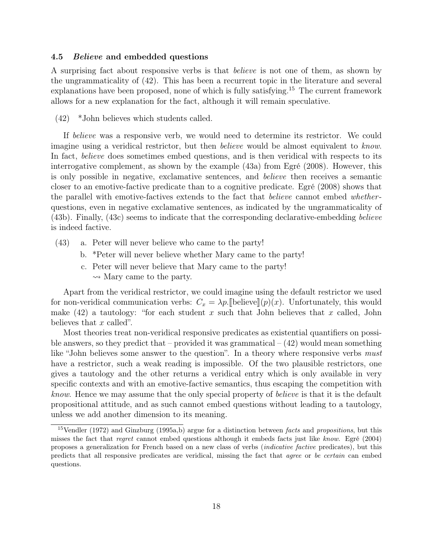#### 4.5 Believe and embedded questions

A surprising fact about responsive verbs is that believe is not one of them, as shown by the ungrammaticality of (42). This has been a recurrent topic in the literature and several explanations have been proposed, none of which is fully satisfying.<sup>15</sup> The current framework allows for a new explanation for the fact, although it will remain speculative.

(42) \*John believes which students called.

If believe was a responsive verb, we would need to determine its restrictor. We could imagine using a veridical restrictor, but then *believe* would be almost equivalent to know. In fact, believe does sometimes embed questions, and is then veridical with respects to its interrogative complement, as shown by the example (43a) from Egré (2008). However, this is only possible in negative, exclamative sentences, and believe then receives a semantic closer to an emotive-factive predicate than to a cognitive predicate. Egré (2008) shows that the parallel with emotive-factives extends to the fact that *believe* cannot embed *whether*questions, even in negative exclamative sentences, as indicated by the ungrammaticality of (43b). Finally, (43c) seems to indicate that the corresponding declarative-embedding believe is indeed factive.

- (43) a. Peter will never believe who came to the party!
	- b. \*Peter will never believe whether Mary came to the party!
	- c. Peter will never believe that Mary came to the party!  $\rightsquigarrow$  Mary came to the party.

Apart from the veridical restrictor, we could imagine using the default restrictor we used for non-veridical communication verbs:  $C_x = \lambda p$ . [believe](p)(x). Unfortunately, this would make  $(42)$  a tautology: "for each student x such that John believes that x called, John believes that  $x$  called".

Most theories treat non-veridical responsive predicates as existential quantifiers on possible answers, so they predict that – provided it was grammatical –  $(42)$  would mean something like "John believes some answer to the question". In a theory where responsive verbs *must* have a restrictor, such a weak reading is impossible. Of the two plausible restrictors, one gives a tautology and the other returns a veridical entry which is only available in very specific contexts and with an emotive-factive semantics, thus escaping the competition with know. Hence we may assume that the only special property of believe is that it is the default propositional attitude, and as such cannot embed questions without leading to a tautology, unless we add another dimension to its meaning.

<sup>&</sup>lt;sup>15</sup>Vendler (1972) and Ginzburg (1995a,b) argue for a distinction between *facts* and *propositions*, but this misses the fact that regret cannot embed questions although it embeds facts just like know. Egré (2004) proposes a generalization for French based on a new class of verbs (indicative factive predicates), but this predicts that all responsive predicates are veridical, missing the fact that agree or be certain can embed questions.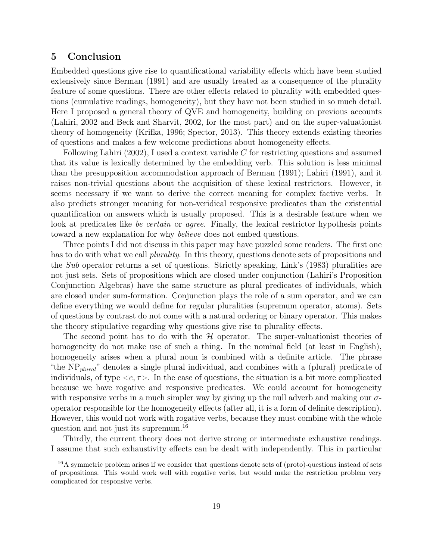# 5 Conclusion

Embedded questions give rise to quantificational variability effects which have been studied extensively since Berman (1991) and are usually treated as a consequence of the plurality feature of some questions. There are other effects related to plurality with embedded questions (cumulative readings, homogeneity), but they have not been studied in so much detail. Here I proposed a general theory of QVE and homogeneity, building on previous accounts (Lahiri, 2002 and Beck and Sharvit, 2002, for the most part) and on the super-valuationist theory of homogeneity (Krifka, 1996; Spector, 2013). This theory extends existing theories of questions and makes a few welcome predictions about homogeneity effects.

Following Lahiri  $(2002)$ , I used a context variable C for restricting questions and assumed that its value is lexically determined by the embedding verb. This solution is less minimal than the presupposition accommodation approach of Berman (1991); Lahiri (1991), and it raises non-trivial questions about the acquisition of these lexical restrictors. However, it seems necessary if we want to derive the correct meaning for complex factive verbs. It also predicts stronger meaning for non-veridical responsive predicates than the existential quantification on answers which is usually proposed. This is a desirable feature when we look at predicates like be certain or agree. Finally, the lexical restrictor hypothesis points toward a new explanation for why believe does not embed questions.

Three points I did not discuss in this paper may have puzzled some readers. The first one has to do with what we call *plurality*. In this theory, questions denote sets of propositions and the Sub operator returns a set of questions. Strictly speaking, Link's (1983) pluralities are not just sets. Sets of propositions which are closed under conjunction (Lahiri's Proposition Conjunction Algebras) have the same structure as plural predicates of individuals, which are closed under sum-formation. Conjunction plays the role of a sum operator, and we can define everything we would define for regular pluralities (supremum operator, atoms). Sets of questions by contrast do not come with a natural ordering or binary operator. This makes the theory stipulative regarding why questions give rise to plurality effects.

The second point has to do with the  $\mathcal H$  operator. The super-valuationist theories of homogeneity do not make use of such a thing. In the nominal field (at least in English), homogeneity arises when a plural noun is combined with a definite article. The phrase "the  $NP_{plural}$ " denotes a single plural individual, and combines with a (plural) predicate of individuals, of type  $\langle e, \tau \rangle$ . In the case of questions, the situation is a bit more complicated because we have rogative and responsive predicates. We could account for homogeneity with responsive verbs in a much simpler way by giving up the null adverb and making our  $\sigma$ operator responsible for the homogeneity effects (after all, it is a form of definite description). However, this would not work with rogative verbs, because they must combine with the whole question and not just its supremum.<sup>16</sup>

Thirdly, the current theory does not derive strong or intermediate exhaustive readings. I assume that such exhaustivity effects can be dealt with independently. This in particular

 $16A$  symmetric problem arises if we consider that questions denote sets of (proto)-questions instead of sets of propositions. This would work well with rogative verbs, but would make the restriction problem very complicated for responsive verbs.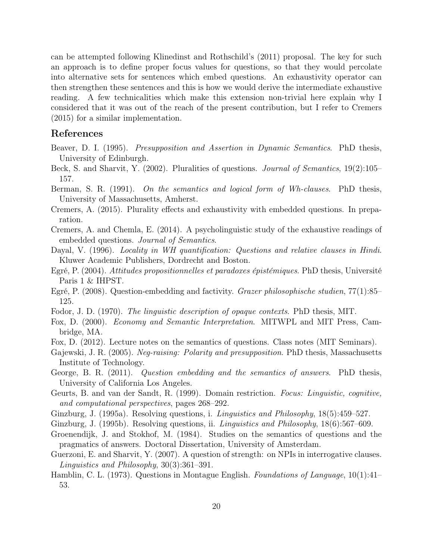can be attempted following Klinedinst and Rothschild's (2011) proposal. The key for such an approach is to define proper focus values for questions, so that they would percolate into alternative sets for sentences which embed questions. An exhaustivity operator can then strengthen these sentences and this is how we would derive the intermediate exhaustive reading. A few technicalities which make this extension non-trivial here explain why I considered that it was out of the reach of the present contribution, but I refer to Cremers (2015) for a similar implementation.

# References

- Beaver, D. I. (1995). Presupposition and Assertion in Dynamic Semantics. PhD thesis, University of Edinburgh.
- Beck, S. and Sharvit, Y. (2002). Pluralities of questions. Journal of Semantics, 19(2):105– 157.
- Berman, S. R. (1991). On the semantics and logical form of Wh-clauses. PhD thesis, University of Massachusetts, Amherst.
- Cremers, A. (2015). Plurality effects and exhaustivity with embedded questions. In preparation.
- Cremers, A. and Chemla, E. (2014). A psycholinguistic study of the exhaustive readings of embedded questions. Journal of Semantics.
- Dayal, V. (1996). Locality in WH quantification: Questions and relative clauses in Hindi. Kluwer Academic Publishers, Dordrecht and Boston.
- Egré, P. (2004). Attitudes propositionnelles et paradoxes épistémiques. PhD thesis, Université Paris 1 & IHPST.
- Egré, P. (2008). Question-embedding and factivity. Grazer philosophische studien, 77(1):85– 125.
- Fodor, J. D. (1970). The linguistic description of opaque contexts. PhD thesis, MIT.
- Fox, D. (2000). Economy and Semantic Interpretation. MITWPL and MIT Press, Cambridge, MA.
- Fox, D. (2012). Lecture notes on the semantics of questions. Class notes (MIT Seminars).
- Gajewski, J. R. (2005). Neg-raising: Polarity and presupposition. PhD thesis, Massachusetts Institute of Technology.
- George, B. R. (2011). Question embedding and the semantics of answers. PhD thesis, University of California Los Angeles.
- Geurts, B. and van der Sandt, R. (1999). Domain restriction. Focus: Linguistic, cognitive, and computational perspectives, pages 268–292.
- Ginzburg, J. (1995a). Resolving questions, i. *Linguistics and Philosophy*, 18(5):459–527.
- Ginzburg, J. (1995b). Resolving questions, ii. *Linguistics and Philosophy*, 18(6):567–609.
- Groenendijk, J. and Stokhof, M. (1984). Studies on the semantics of questions and the pragmatics of answers. Doctoral Dissertation, University of Amsterdam.
- Guerzoni, E. and Sharvit, Y. (2007). A question of strength: on NPIs in interrogative clauses. Linguistics and Philosophy, 30(3):361–391.
- Hamblin, C. L. (1973). Questions in Montague English. Foundations of Language, 10(1):41– 53.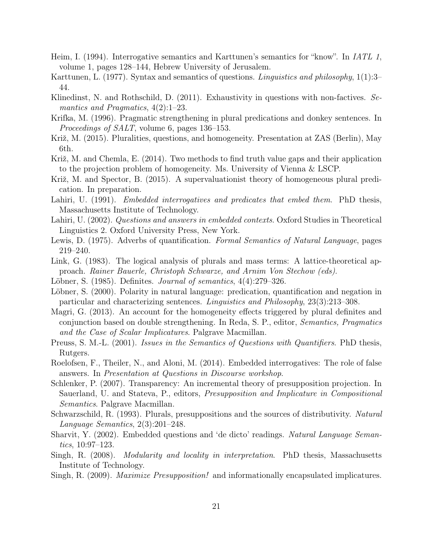- Heim, I. (1994). Interrogative semantics and Karttunen's semantics for "know". In IATL 1, volume 1, pages 128–144, Hebrew University of Jerusalem.
- Karttunen, L. (1977). Syntax and semantics of questions. Linguistics and philosophy, 1(1):3– 44.
- Klinedinst, N. and Rothschild, D. (2011). Exhaustivity in questions with non-factives. Semantics and Pragmatics, 4(2):1–23.
- Krifka, M. (1996). Pragmatic strengthening in plural predications and donkey sentences. In Proceedings of SALT, volume 6, pages 136–153.
- Križ, M. (2015). Pluralities, questions, and homogeneity. Presentation at ZAS (Berlin), May 6th.
- Križ, M. and Chemla, E. (2014). Two methods to find truth value gaps and their application to the projection problem of homogeneity. Ms. University of Vienna & LSCP.
- Križ, M. and Spector, B. (2015). A supervaluationist theory of homogeneous plural predication. In preparation.
- Lahiri, U. (1991). *Embedded interrogatives and predicates that embed them.* PhD thesis, Massachusetts Institute of Technology.
- Lahiri, U. (2002). *Questions and answers in embedded contexts*. Oxford Studies in Theoretical Linguistics 2. Oxford University Press, New York.
- Lewis, D. (1975). Adverbs of quantification. Formal Semantics of Natural Language, pages 219–240.
- Link, G. (1983). The logical analysis of plurals and mass terms: A lattice-theoretical approach. Rainer Bauerle, Christoph Schwarze, and Arnim Von Stechow (eds).
- Löbner, S. (1985). Definites. *Journal of semantics*, 4(4):279–326.
- Löbner, S. (2000). Polarity in natural language: predication, quantification and negation in particular and characterizing sentences. Linguistics and Philosophy, 23(3):213–308.
- Magri, G. (2013). An account for the homogeneity effects triggered by plural definites and conjunction based on double strengthening. In Reda, S. P., editor, Semantics, Pragmatics and the Case of Scalar Implicatures. Palgrave Macmillan.
- Preuss, S. M.-L. (2001). Issues in the Semantics of Questions with Quantifiers. PhD thesis, Rutgers.
- Roelofsen, F., Theiler, N., and Aloni, M. (2014). Embedded interrogatives: The role of false answers. In Presentation at Questions in Discourse workshop.
- Schlenker, P. (2007). Transparency: An incremental theory of presupposition projection. In Sauerland, U. and Stateva, P., editors, Presupposition and Implicature in Compositional Semantics. Palgrave Macmillan.
- Schwarzschild, R. (1993). Plurals, presuppositions and the sources of distributivity. Natural Language Semantics, 2(3):201–248.
- Sharvit, Y. (2002). Embedded questions and 'de dicto' readings. Natural Language Semantics, 10:97–123.
- Singh, R. (2008). Modularity and locality in interpretation. PhD thesis, Massachusetts Institute of Technology.
- Singh, R. (2009). *Maximize Presupposition!* and informationally encapsulated implicatures.